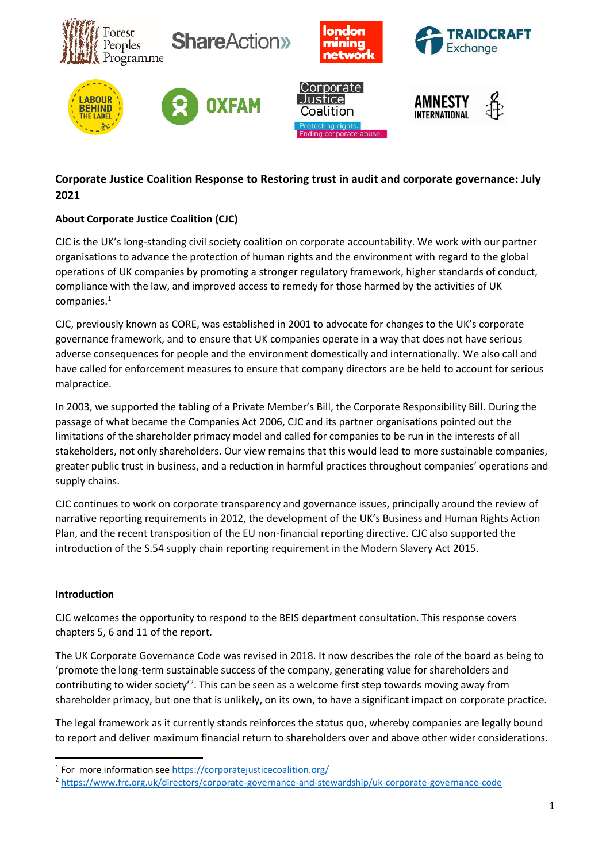

# **Corporate Justice Coalition Response to Restoring trust in audit and corporate governance: July 2021**

## **About Corporate Justice Coalition (CJC)**

CJC is the UK's long-standing civil society coalition on corporate accountability. We work with our partner organisations to advance the protection of human rights and the environment with regard to the global operations of UK companies by promoting a stronger regulatory framework, higher standards of conduct, compliance with the law, and improved access to remedy for those harmed by the activities of UK companies.<sup>1</sup>

CJC, previously known as CORE, was established in 2001 to advocate for changes to the UK's corporate governance framework, and to ensure that UK companies operate in a way that does not have serious adverse consequences for people and the environment domestically and internationally. We also call and have called for enforcement measures to ensure that company directors are be held to account for serious malpractice.

In 2003, we supported the tabling of a Private Member's Bill, the Corporate Responsibility Bill. During the passage of what became the Companies Act 2006, CJC and its partner organisations pointed out the limitations of the shareholder primacy model and called for companies to be run in the interests of all stakeholders, not only shareholders. Our view remains that this would lead to more sustainable companies, greater public trust in business, and a reduction in harmful practices throughout companies' operations and supply chains.

CJC continues to work on corporate transparency and governance issues, principally around the review of narrative reporting requirements in 2012, the development of the UK's Business and Human Rights Action Plan, and the recent transposition of the EU non-financial reporting directive. CJC also supported the introduction of the S.54 supply chain reporting requirement in the Modern Slavery Act 2015.

#### **Introduction**

CJC welcomes the opportunity to respond to the BEIS department consultation. This response covers chapters 5, 6 and 11 of the report.

The UK Corporate Governance Code was revised in 2018. It now describes the role of the board as being to 'promote the long-term sustainable success of the company, generating value for shareholders and contributing to wider society<sup>2</sup>. This can be seen as a welcome first step towards moving away from shareholder primacy, but one that is unlikely, on its own, to have a significant impact on corporate practice.

The legal framework as it currently stands reinforces the status quo, whereby companies are legally bound to report and deliver maximum financial return to shareholders over and above other wider considerations.

<sup>&</sup>lt;sup>1</sup> For more information see<https://corporatejusticecoalition.org/>

<sup>2</sup> <https://www.frc.org.uk/directors/corporate-governance-and-stewardship/uk-corporate-governance-code>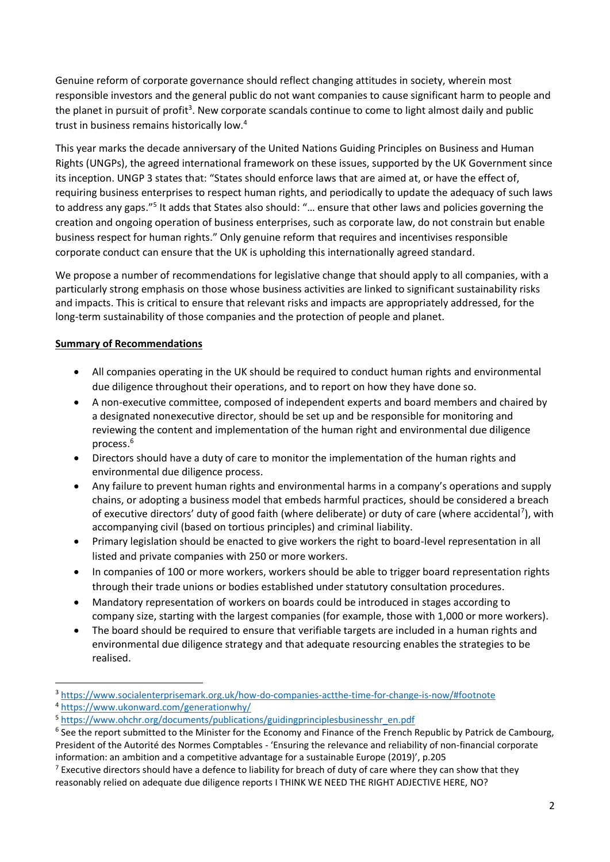Genuine reform of corporate governance should reflect changing attitudes in society, wherein most responsible investors and the general public do not want companies to cause significant harm to people and the planet in pursuit of profit<sup>3</sup>. New corporate scandals continue to come to light almost daily and public trust in business remains historically low.<sup>4</sup>

This year marks the decade anniversary of the United Nations Guiding Principles on Business and Human Rights (UNGPs), the agreed international framework on these issues, supported by the UK Government since its inception. UNGP 3 states that: "States should enforce laws that are aimed at, or have the effect of, requiring business enterprises to respect human rights, and periodically to update the adequacy of such laws to address any gaps."<sup>5</sup> It adds that States also should: "... ensure that other laws and policies governing the creation and ongoing operation of business enterprises, such as corporate law, do not constrain but enable business respect for human rights." Only genuine reform that requires and incentivises responsible corporate conduct can ensure that the UK is upholding this internationally agreed standard.

We propose a number of recommendations for legislative change that should apply to all companies, with a particularly strong emphasis on those whose business activities are linked to significant sustainability risks and impacts. This is critical to ensure that relevant risks and impacts are appropriately addressed, for the long-term sustainability of those companies and the protection of people and planet.

## **Summary of Recommendations**

- All companies operating in the UK should be required to conduct human rights and environmental due diligence throughout their operations, and to report on how they have done so.
- A non-executive committee, composed of independent experts and board members and chaired by a designated nonexecutive director, should be set up and be responsible for monitoring and reviewing the content and implementation of the human right and environmental due diligence process. 6
- Directors should have a duty of care to monitor the implementation of the human rights and environmental due diligence process.
- Any failure to prevent human rights and environmental harms in a company's operations and supply chains, or adopting a business model that embeds harmful practices, should be considered a breach of executive directors' duty of good faith (where deliberate) or duty of care (where accidental<sup>7</sup>), with accompanying civil (based on tortious principles) and criminal liability.
- Primary legislation should be enacted to give workers the right to board-level representation in all listed and private companies with 250 or more workers.
- In companies of 100 or more workers, workers should be able to trigger board representation rights through their trade unions or bodies established under statutory consultation procedures.
- Mandatory representation of workers on boards could be introduced in stages according to company size, starting with the largest companies (for example, those with 1,000 or more workers).
- The board should be required to ensure that verifiable targets are included in a human rights and environmental due diligence strategy and that adequate resourcing enables the strategies to be realised.

<sup>3</sup> <https://www.socialenterprisemark.org.uk/how-do-companies-actthe-time-for-change-is-now/#footnote>

<sup>4</sup> <https://www.ukonward.com/generationwhy/>

<sup>5</sup> [https://www.ohchr.org/documents/publications/guidingprinciplesbusinesshr\\_en.pdf](https://www.ohchr.org/documents/publications/guidingprinciplesbusinesshr_en.pdf)

<sup>&</sup>lt;sup>6</sup> See the report submitted to the Minister for the Economy and Finance of the French Republic by Patrick de Cambourg, President of the Autorité des Normes Comptables - 'Ensuring the relevance and reliability of non-financial corporate information: an ambition and a competitive advantage for a sustainable Europe (2019)', p.205

 $7$  Executive directors should have a defence to liability for breach of duty of care where they can show that they reasonably relied on adequate due diligence reports I THINK WE NEED THE RIGHT ADJECTIVE HERE, NO?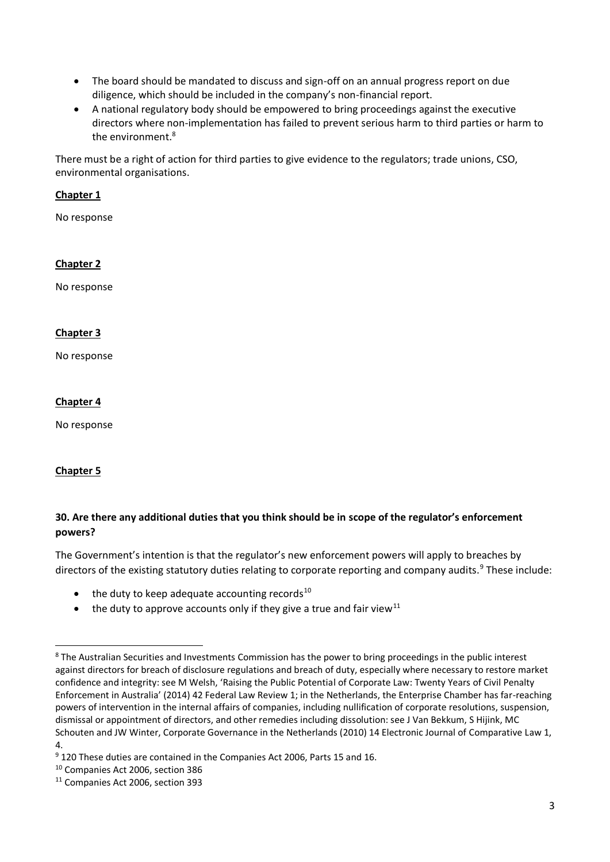- The board should be mandated to discuss and sign-off on an annual progress report on due diligence, which should be included in the company's non-financial report.
- A national regulatory body should be empowered to bring proceedings against the executive directors where non-implementation has failed to prevent serious harm to third parties or harm to the environment.<sup>8</sup>

There must be a right of action for third parties to give evidence to the regulators; trade unions, CSO, environmental organisations.

#### **Chapter 1**

No response

#### **Chapter 2**

No response

## **Chapter 3**

No response

## **Chapter 4**

No response

#### **Chapter 5**

## **30. Are there any additional duties that you think should be in scope of the regulator's enforcement powers?**

The Government's intention is that the regulator's new enforcement powers will apply to breaches by directors of the existing statutory duties relating to corporate reporting and company audits.<sup>9</sup> These include:

- $\bullet$  the duty to keep adequate accounting records<sup>10</sup>
- the duty to approve accounts only if they give a true and fair view<sup>11</sup>

<sup>&</sup>lt;sup>8</sup> The Australian Securities and Investments Commission has the power to bring proceedings in the public interest against directors for breach of disclosure regulations and breach of duty, especially where necessary to restore market confidence and integrity: see M Welsh, 'Raising the Public Potential of Corporate Law: Twenty Years of Civil Penalty Enforcement in Australia' (2014) 42 Federal Law Review 1; in the Netherlands, the Enterprise Chamber has far-reaching powers of intervention in the internal affairs of companies, including nullification of corporate resolutions, suspension, dismissal or appointment of directors, and other remedies including dissolution: see J Van Bekkum, S Hijink, MC Schouten and JW Winter, Corporate Governance in the Netherlands (2010) 14 Electronic Journal of Comparative Law 1, 4.

<sup>9</sup> 120 These duties are contained in the Companies Act 2006, Parts 15 and 16.

<sup>10</sup> Companies Act 2006, section 386

<sup>11</sup> Companies Act 2006, section 393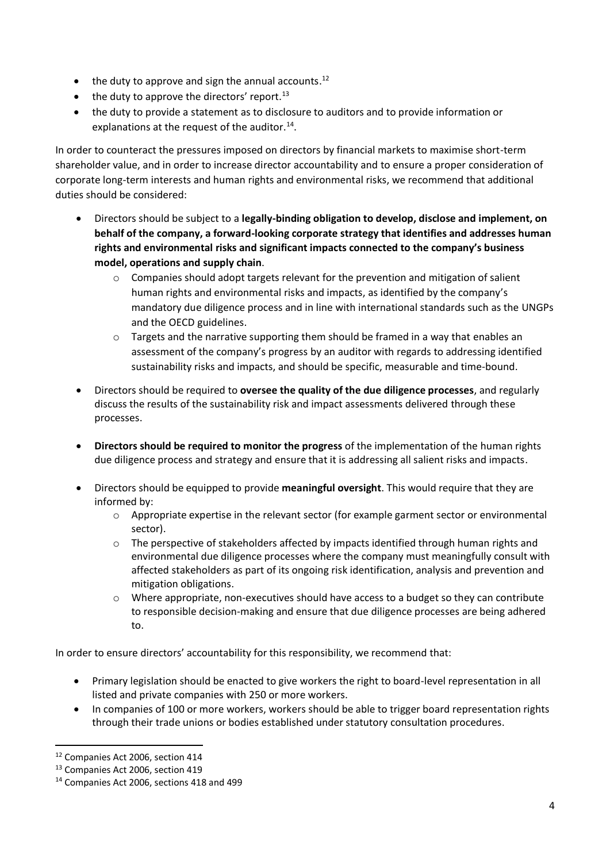- $\bullet$  the duty to approve and sign the annual accounts.<sup>12</sup>
- $\bullet$  the duty to approve the directors' report.<sup>13</sup>
- the duty to provide a statement as to disclosure to auditors and to provide information or explanations at the request of the auditor.<sup>14</sup>.

In order to counteract the pressures imposed on directors by financial markets to maximise short-term shareholder value, and in order to increase director accountability and to ensure a proper consideration of corporate long-term interests and human rights and environmental risks, we recommend that additional duties should be considered:

- Directors should be subject to a **legally-binding obligation to develop, disclose and implement, on behalf of the company, a forward-looking corporate strategy that identifies and addresses human rights and environmental risks and significant impacts connected to the company's business model, operations and supply chain**.
	- $\circ$  Companies should adopt targets relevant for the prevention and mitigation of salient human rights and environmental risks and impacts, as identified by the company's mandatory due diligence process and in line with international standards such as the UNGPs and the OECD guidelines.
	- o Targets and the narrative supporting them should be framed in a way that enables an assessment of the company's progress by an auditor with regards to addressing identified sustainability risks and impacts, and should be specific, measurable and time-bound.
- Directors should be required to **oversee the quality of the due diligence processes**, and regularly discuss the results of the sustainability risk and impact assessments delivered through these processes.
- **Directors should be required to monitor the progress** of the implementation of the human rights due diligence process and strategy and ensure that it is addressing all salient risks and impacts.
- Directors should be equipped to provide **meaningful oversight**. This would require that they are informed by:
	- o Appropriate expertise in the relevant sector (for example garment sector or environmental sector).
	- o The perspective of stakeholders affected by impacts identified through human rights and environmental due diligence processes where the company must meaningfully consult with affected stakeholders as part of its ongoing risk identification, analysis and prevention and mitigation obligations.
	- o Where appropriate, non-executives should have access to a budget so they can contribute to responsible decision-making and ensure that due diligence processes are being adhered to.

In order to ensure directors' accountability for this responsibility, we recommend that:

- Primary legislation should be enacted to give workers the right to board-level representation in all listed and private companies with 250 or more workers.
- In companies of 100 or more workers, workers should be able to trigger board representation rights through their trade unions or bodies established under statutory consultation procedures.

<sup>12</sup> Companies Act 2006, section 414

<sup>13</sup> Companies Act 2006, section 419

<sup>&</sup>lt;sup>14</sup> Companies Act 2006, sections 418 and 499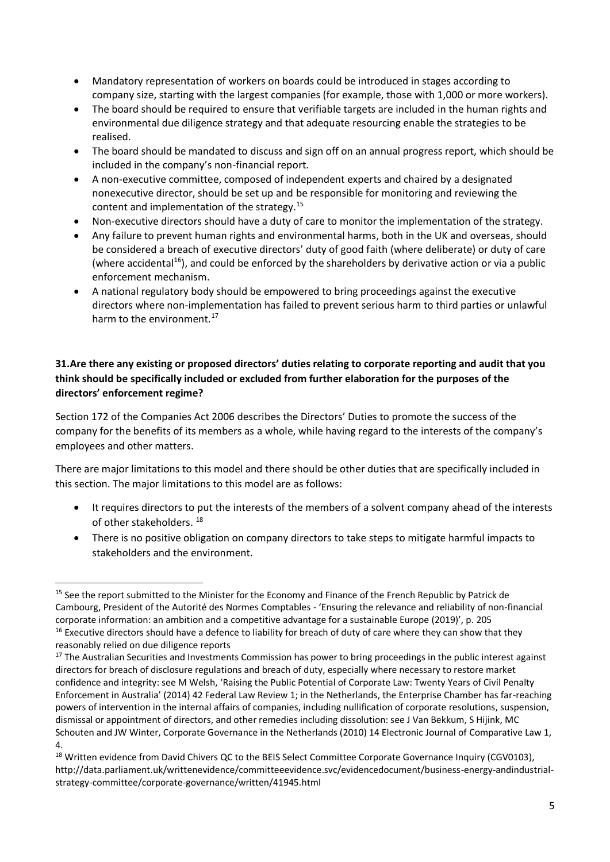- Mandatory representation of workers on boards could be introduced in stages according to company size, starting with the largest companies (for example, those with 1,000 or more workers).
- The board should be required to ensure that verifiable targets are included in the human rights and environmental due diligence strategy and that adequate resourcing enable the strategies to be realised.
- The board should be mandated to discuss and sign off on an annual progress report, which should be included in the company's non-financial report.
- A non-executive committee, composed of independent experts and chaired by a designated nonexecutive director, should be set up and be responsible for monitoring and reviewing the content and implementation of the strategy.<sup>15</sup>
- Non-executive directors should have a duty of care to monitor the implementation of the strategy.
- Any failure to prevent human rights and environmental harms, both in the UK and overseas, should be considered a breach of executive directors' duty of good faith (where deliberate) or duty of care (where accidental<sup>16</sup>), and could be enforced by the shareholders by derivative action or via a public enforcement mechanism.
- A national regulatory body should be empowered to bring proceedings against the executive directors where non-implementation has failed to prevent serious harm to third parties or unlawful harm to the environment.<sup>17</sup>

## **31.Are there any existing or proposed directors' duties relating to corporate reporting and audit that you think should be specifically included or excluded from further elaboration for the purposes of the directors' enforcement regime?**

Section 172 of the Companies Act 2006 describes the Directors' Duties to promote the success of the company for the benefits of its members as a whole, while having regard to the interests of the company's employees and other matters.

There are major limitations to this model and there should be other duties that are specifically included in this section. The major limitations to this model are as follows:

- It requires directors to put the interests of the members of a solvent company ahead of the interests of other stakeholders.<sup>18</sup>
- There is no positive obligation on company directors to take steps to mitigate harmful impacts to stakeholders and the environment.

<sup>&</sup>lt;sup>15</sup> See the report submitted to the Minister for the Economy and Finance of the French Republic by Patrick de Cambourg, President of the Autorité des Normes Comptables - 'Ensuring the relevance and reliability of non-financial corporate information: an ambition and a competitive advantage for a sustainable Europe (2019)', p. 205  $16$  Executive directors should have a defence to liability for breach of duty of care where they can show that they reasonably relied on due diligence reports

 $17$  The Australian Securities and Investments Commission has power to bring proceedings in the public interest against directors for breach of disclosure regulations and breach of duty, especially where necessary to restore market confidence and integrity: see M Welsh, 'Raising the Public Potential of Corporate Law: Twenty Years of Civil Penalty Enforcement in Australia' (2014) 42 Federal Law Review 1; in the Netherlands, the Enterprise Chamber has far-reaching powers of intervention in the internal affairs of companies, including nullification of corporate resolutions, suspension, dismissal or appointment of directors, and other remedies including dissolution: see J Van Bekkum, S Hijink, MC Schouten and JW Winter, Corporate Governance in the Netherlands (2010) 14 Electronic Journal of Comparative Law 1, 4.

<sup>&</sup>lt;sup>18</sup> Written evidence from David Chivers QC to the BEIS Select Committee Corporate Governance Inquiry (CGV0103), http://data.parliament.uk/writtenevidence/committeeevidence.svc/evidencedocument/business-energy-andindustrialstrategy-committee/corporate-governance/written/41945.html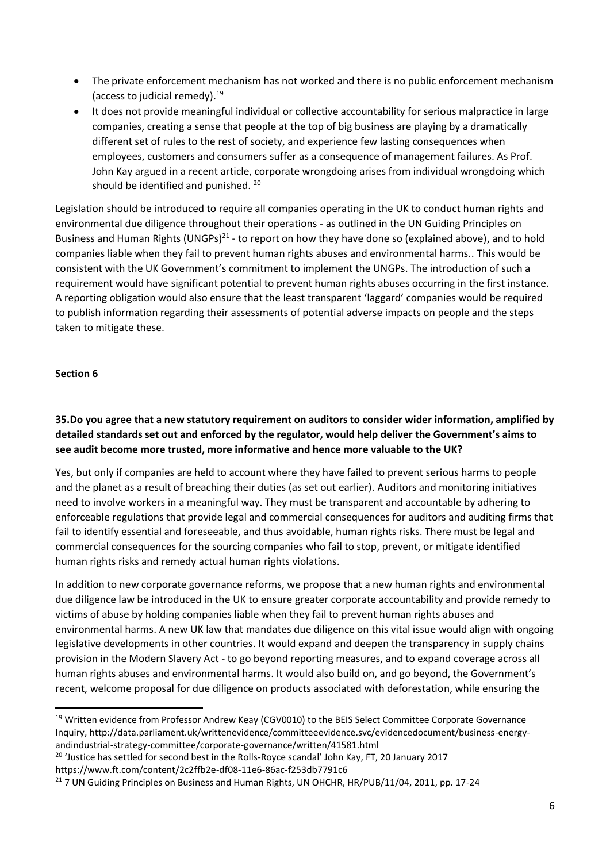- The private enforcement mechanism has not worked and there is no public enforcement mechanism (access to judicial remedy). 19
- It does not provide meaningful individual or collective accountability for serious malpractice in large companies, creating a sense that people at the top of big business are playing by a dramatically different set of rules to the rest of society, and experience few lasting consequences when employees, customers and consumers suffer as a consequence of management failures. As Prof. John Kay argued in a recent article, corporate wrongdoing arises from individual wrongdoing which should be identified and punished. 20

Legislation should be introduced to require all companies operating in the UK to conduct human rights and environmental due diligence throughout their operations - as outlined in the UN Guiding Principles on Business and Human Rights (UNGPs) $^{21}$  - to report on how they have done so (explained above), and to hold companies liable when they fail to prevent human rights abuses and environmental harms.. This would be consistent with the UK Government's commitment to implement the UNGPs. The introduction of such a requirement would have significant potential to prevent human rights abuses occurring in the first instance. A reporting obligation would also ensure that the least transparent 'laggard' companies would be required to publish information regarding their assessments of potential adverse impacts on people and the steps taken to mitigate these.

#### **Section 6**

**35.Do you agree that a new statutory requirement on auditors to consider wider information, amplified by detailed standards set out and enforced by the regulator, would help deliver the Government's aims to see audit become more trusted, more informative and hence more valuable to the UK?**

Yes, but only if companies are held to account where they have failed to prevent serious harms to people and the planet as a result of breaching their duties (as set out earlier). Auditors and monitoring initiatives need to involve workers in a meaningful way. They must be transparent and accountable by adhering to enforceable regulations that provide legal and commercial consequences for auditors and auditing firms that fail to identify essential and foreseeable, and thus avoidable, human rights risks. There must be legal and commercial consequences for the sourcing companies who fail to stop, prevent, or mitigate identified human rights risks and remedy actual human rights violations.

In addition to new corporate governance reforms, we propose that a new human rights and environmental due diligence law be introduced in the UK to ensure greater corporate accountability and provide remedy to victims of abuse by holding companies liable when they fail to prevent human rights abuses and environmental harms. A new UK law that mandates due diligence on this vital issue would align with ongoing legislative developments in other countries. It would expand and deepen the transparency in supply chains provision in the Modern Slavery Act - to go beyond reporting measures, and to expand coverage across all human rights abuses and environmental harms. It would also build on, and go beyond, the Government's recent, welcome proposal for due diligence on products associated with deforestation, while ensuring the

<sup>&</sup>lt;sup>19</sup> Written evidence from Professor Andrew Keay (CGV0010) to the BEIS Select Committee Corporate Governance Inquiry, http://data.parliament.uk/writtenevidence/committeeevidence.svc/evidencedocument/business-energyandindustrial-strategy-committee/corporate-governance/written/41581.html

<sup>&</sup>lt;sup>20</sup> 'Justice has settled for second best in the Rolls-Royce scandal' John Kay, FT, 20 January 2017

https://www.ft.com/content/2c2ffb2e-df08-11e6-86ac-f253db7791c6

<sup>&</sup>lt;sup>21</sup> 7 UN Guiding Principles on Business and Human Rights, UN OHCHR, HR/PUB/11/04, 2011, pp. 17-24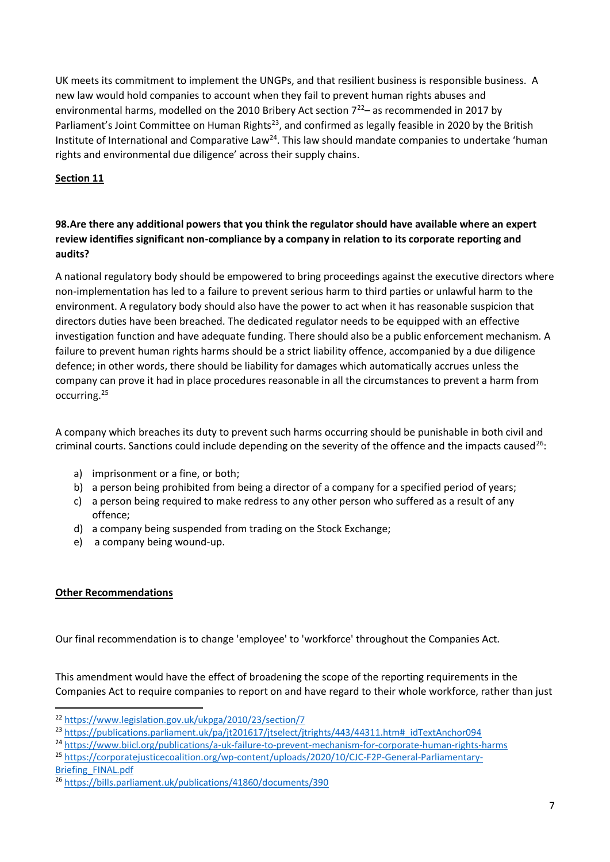UK meets its commitment to implement the UNGPs, and that resilient business is responsible business.  A new law would hold companies to account when they fail to prevent human rights abuses and environmental harms, modelled on the 2010 Bribery Act section  $7^{22}$  as recommended in 2017 by Parliament's Joint Committee on Human Rights<sup>23</sup>, and confirmed as legally feasible in 2020 by the British Institute of International and Comparative Law<sup>24</sup>. This law should mandate companies to undertake 'human rights and environmental due diligence' across their supply chains.

## **Section 11**

## **98.Are there any additional powers that you think the regulator should have available where an expert review identifies significant non-compliance by a company in relation to its corporate reporting and audits?**

A national regulatory body should be empowered to bring proceedings against the executive directors where non-implementation has led to a failure to prevent serious harm to third parties or unlawful harm to the environment. A regulatory body should also have the power to act when it has reasonable suspicion that directors duties have been breached. The dedicated regulator needs to be equipped with an effective investigation function and have adequate funding. There should also be a public enforcement mechanism. A failure to prevent human rights harms should be a strict liability offence, accompanied by a due diligence defence; in other words, there should be liability for damages which automatically accrues unless the company can prove it had in place procedures reasonable in all the circumstances to prevent a harm from occurring.<sup>25</sup>

A company which breaches its duty to prevent such harms occurring should be punishable in both civil and criminal courts. Sanctions could include depending on the severity of the offence and the impacts caused<sup>26</sup>:

- a) imprisonment or a fine, or both;
- b) a person being prohibited from being a director of a company for a specified period of years;
- c) a person being required to make redress to any other person who suffered as a result of any offence;
- d) a company being suspended from trading on the Stock Exchange;
- e) a company being wound-up.

#### **Other Recommendations**

Our final recommendation is to change 'employee' to 'workforce' throughout the Companies Act.

This amendment would have the effect of broadening the scope of the reporting requirements in the Companies Act to require companies to report on and have regard to their whole workforce, rather than just

<sup>22</sup> <https://www.legislation.gov.uk/ukpga/2010/23/section/7>

<sup>&</sup>lt;sup>23</sup> [https://publications.parliament.uk/pa/jt201617/jtselect/jtrights/443/44311.htm#\\_idTextAnchor094](https://publications.parliament.uk/pa/jt201617/jtselect/jtrights/443/44311.htm#_idTextAnchor094)

<sup>&</sup>lt;sup>24</sup> <https://www.biicl.org/publications/a-uk-failure-to-prevent-mechanism-for-corporate-human-rights-harms>

<sup>25</sup> [https://corporatejusticecoalition.org/wp-content/uploads/2020/10/CJC-F2P-General-Parliamentary-](https://corporatejusticecoalition.org/wp-content/uploads/2020/10/CJC-F2P-General-Parliamentary-Briefing_FINAL.pdf)[Briefing\\_FINAL.pdf](https://corporatejusticecoalition.org/wp-content/uploads/2020/10/CJC-F2P-General-Parliamentary-Briefing_FINAL.pdf)

<sup>26</sup> <https://bills.parliament.uk/publications/41860/documents/390>